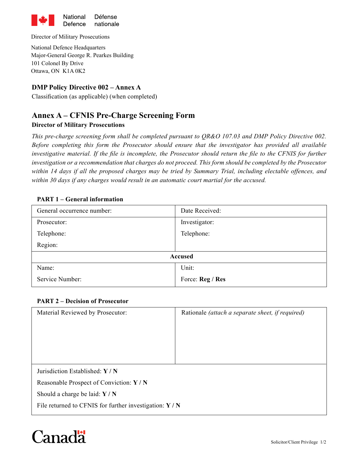

Director of Military Prosecutions

National Defence Headquarters Major-General George R. Pearkes Building 101 Colonel By Drive Ottawa, ON K1A 0K2

### **DMP Policy Directive 002 – Annex A**

Classification (as applicable) (when completed)

# **Annex A – CFNIS Pre-Charge Screening Form**

#### **Director of Military Prosecutions**

*This pre-charge screening form shall be completed pursuant to QR&O 107.03 and DMP Policy Directive 002. Before completing this form the Prosecutor should ensure that the investigator has provided all available investigative material. If the file is incomplete, the Prosecutor should return the file to the CFNIS for further investigation or a recommendation that charges do not proceed. This form should be completed by the Prosecutor within 14 days if all the proposed charges may be tried by Summary Trial, including electable offences, and within 30 days if any charges would result in an automatic court martial for the accused.* 

#### **PART 1 – General information**

| General occurrence number: | Date Received:   |  |
|----------------------------|------------------|--|
| Prosecutor:                | Investigator:    |  |
| Telephone:                 | Telephone:       |  |
| Region:                    |                  |  |
| <b>Accused</b>             |                  |  |
| Name:                      | Unit:            |  |
| Service Number:            | Force: Reg / Res |  |

#### **PART 2 – Decision of Prosecutor**

| Material Reviewed by Prosecutor:                                      | Rationale (attach a separate sheet, if required) |  |
|-----------------------------------------------------------------------|--------------------------------------------------|--|
|                                                                       |                                                  |  |
| Jurisdiction Established: Y / N                                       |                                                  |  |
| Reasonable Prospect of Conviction: Y / N                              |                                                  |  |
| Should a charge be laid: $Y/N$                                        |                                                  |  |
| File returned to CFNIS for further investigation: $\bf{Y}$ / $\bf{N}$ |                                                  |  |